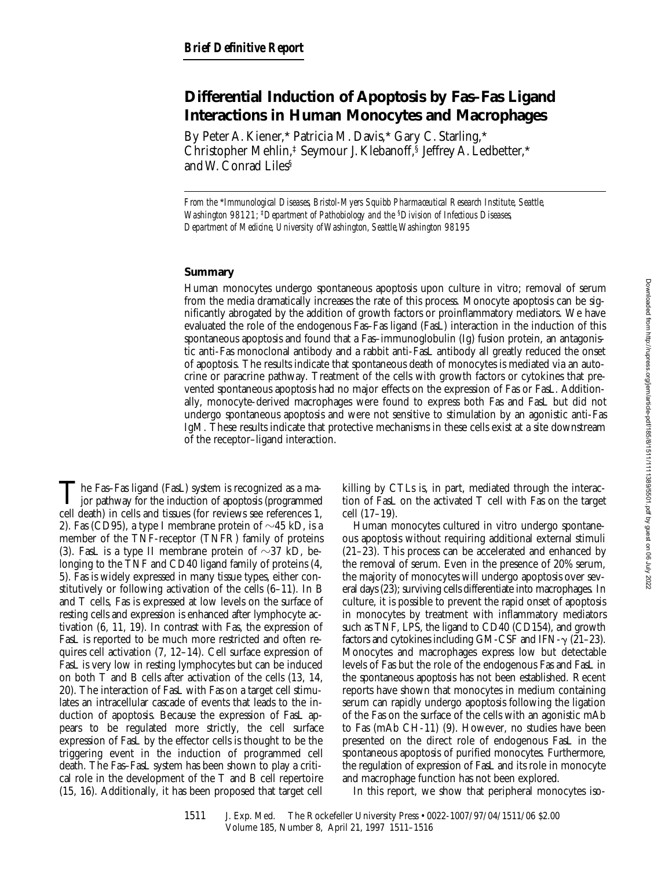# **Differential Induction of Apoptosis by Fas–Fas Ligand Interactions in Human Monocytes and Macrophages**

By Peter A. Kiener,\* Patricia M. Davis,\* Gary C. Starling,\* Christopher Mehlin,‡ Seymour J. Klebanoff,§ Jeffrey A. Ledbetter,\* and W. Conrad Liles§

*From the* \**Immunological Diseases, Bristol-Myers Squibb Pharmaceutical Research Institute, Seattle, Washington 98121;* ‡*Department of Pathobiology and the* §*Division of Infectious Diseases, Department of Medicine, University of Washington, Seattle, Washington 98195*

## **Summary**

Human monocytes undergo spontaneous apoptosis upon culture in vitro; removal of serum from the media dramatically increases the rate of this process. Monocyte apoptosis can be significantly abrogated by the addition of growth factors or proinflammatory mediators. We have evaluated the role of the endogenous Fas–Fas ligand (FasL) interaction in the induction of this spontaneous apoptosis and found that a Fas–immunoglobulin (Ig) fusion protein, an antagonistic anti-Fas monoclonal antibody and a rabbit anti-FasL antibody all greatly reduced the onset of apoptosis. The results indicate that spontaneous death of monocytes is mediated via an autocrine or paracrine pathway. Treatment of the cells with growth factors or cytokines that prevented spontaneous apoptosis had no major effects on the expression of Fas or FasL. Additionally, monocyte-derived macrophages were found to express both Fas and FasL but did not undergo spontaneous apoptosis and were not sensitive to stimulation by an agonistic anti-Fas IgM. These results indicate that protective mechanisms in these cells exist at a site downstream of the receptor–ligand interaction.

The Fas–Fas ligand (FasL) system is recognized as a ma-<br>jor pathway for the induction of apoptosis (programmed<br>and death) in cells and tinues (for applicance as a programmed cell death) in cells and tissues (for reviews see references 1, 2). Fas (CD95), a type I membrane protein of  $\sim$ 45 kD, is a member of the TNF-receptor (TNFR) family of proteins (3). FasL is a type II membrane protein of  $\sim$ 37 kD, belonging to the TNF and CD40 ligand family of proteins (4, 5). Fas is widely expressed in many tissue types, either constitutively or following activation of the cells (6–11). In B and T cells, Fas is expressed at low levels on the surface of resting cells and expression is enhanced after lymphocyte activation (6, 11, 19). In contrast with Fas, the expression of FasL is reported to be much more restricted and often requires cell activation (7, 12–14). Cell surface expression of FasL is very low in resting lymphocytes but can be induced on both T and B cells after activation of the cells (13, 14, 20). The interaction of FasL with Fas on a target cell stimulates an intracellular cascade of events that leads to the induction of apoptosis. Because the expression of FasL appears to be regulated more strictly, the cell surface expression of FasL by the effector cells is thought to be the triggering event in the induction of programmed cell death. The Fas–FasL system has been shown to play a critical role in the development of the T and B cell repertoire (15, 16). Additionally, it has been proposed that target cell

killing by CTLs is, in part, mediated through the interaction of FasL on the activated T cell with Fas on the target cell (17–19).

Human monocytes cultured in vitro undergo spontaneous apoptosis without requiring additional external stimuli (21–23). This process can be accelerated and enhanced by the removal of serum. Even in the presence of 20% serum, the majority of monocytes will undergo apoptosis over several days (23); surviving cells differentiate into macrophages. In culture, it is possible to prevent the rapid onset of apoptosis in monocytes by treatment with inflammatory mediators such as TNF, LPS, the ligand to CD40 (CD154), and growth factors and cytokines including GM-CSF and IFN- $\gamma$  (21–23). Monocytes and macrophages express low but detectable levels of Fas but the role of the endogenous Fas and FasL in the spontaneous apoptosis has not been established. Recent reports have shown that monocytes in medium containing serum can rapidly undergo apoptosis following the ligation of the Fas on the surface of the cells with an agonistic mAb to Fas (mAb CH-11) (9). However, no studies have been presented on the direct role of endogenous FasL in the spontaneous apoptosis of purified monocytes. Furthermore, the regulation of expression of FasL and its role in monocyte and macrophage function has not been explored.

In this report, we show that peripheral monocytes iso-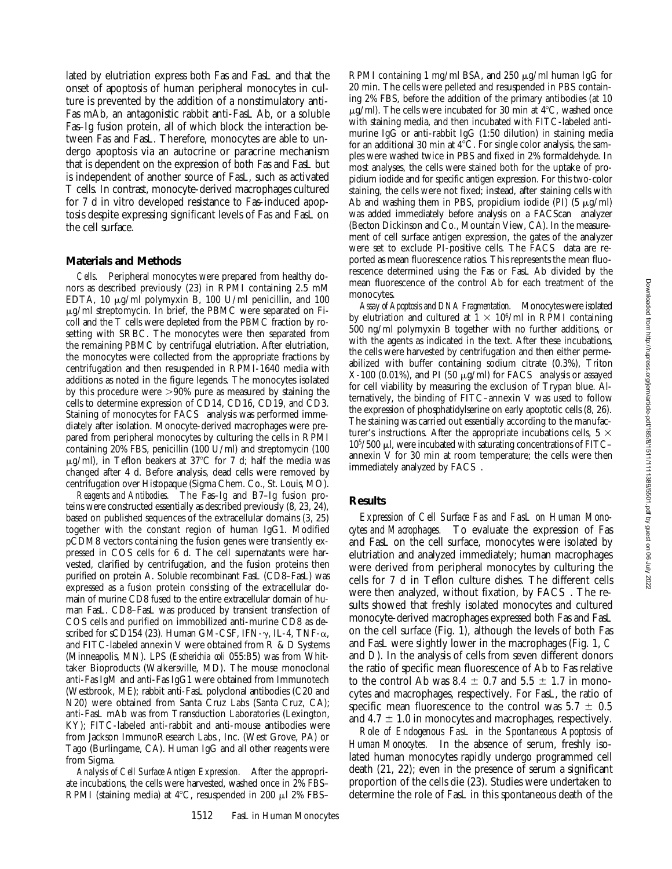lated by elutriation express both Fas and FasL and that the onset of apoptosis of human peripheral monocytes in culture is prevented by the addition of a nonstimulatory anti-Fas mAb, an antagonistic rabbit anti-FasL Ab, or a soluble Fas–Ig fusion protein, all of which block the interaction between Fas and FasL. Therefore, monocytes are able to undergo apoptosis via an autocrine or paracrine mechanism that is dependent on the expression of both Fas and FasL but is independent of another source of FasL, such as activated T cells. In contrast, monocyte-derived macrophages cultured for 7 d in vitro developed resistance to Fas-induced apoptosis despite expressing significant levels of Fas and FasL on the cell surface.

#### **Materials and Methods**

*Cells.* Peripheral monocytes were prepared from healthy donors as described previously (23) in RPMI containing 2.5 mM EDTA, 10  $\mu$ g/ml polymyxin B, 100 U/ml penicillin, and 100  $\mu$ g/ml streptomycin. In brief, the PBMC were separated on Ficoll and the T cells were depleted from the PBMC fraction by rosetting with SRBC. The monocytes were then separated from the remaining PBMC by centrifugal elutriation. After elutriation, the monocytes were collected from the appropriate fractions by centrifugation and then resuspended in RPMI-1640 media with additions as noted in the figure legends. The monocytes isolated by this procedure were  $>90\%$  pure as measured by staining the cells to determine expression of CD14, CD16, CD19, and CD3. Staining of monocytes for FACS<sup>®</sup> analysis was performed immediately after isolation. Monocyte-derived macrophages were prepared from peripheral monocytes by culturing the cells in RPMI containing 20% FBS, penicillin (100 U/ml) and streptomycin (100  $\mu$ g/ml), in Teflon beakers at 37°C for 7 d; half the media was changed after 4 d. Before analysis, dead cells were removed by centrifugation over Histopaque (Sigma Chem. Co., St. Louis, MO).

*Reagents and Antibodies.* The Fas–Ig and B7–Ig fusion proteins were constructed essentially as described previously (8, 23, 24), based on published sequences of the extracellular domains (3, 25) together with the constant region of human IgG1. Modified pCDM8 vectors containing the fusion genes were transiently expressed in COS cells for 6 d. The cell supernatants were harvested, clarified by centrifugation, and the fusion proteins then purified on protein A. Soluble recombinant FasL (CD8–FasL) was expressed as a fusion protein consisting of the extracellular domain of murine CD8 fused to the entire extracellular domain of human FasL. CD8–FasL was produced by transient transfection of COS cells and purified on immobilized anti-murine CD8 as described for sCD154 (23). Human GM-CSF, IFN- $\gamma$ , IL-4, TNF- $\alpha$ , and FITC-labeled annexin V were obtained from R & D Systems (Minneapolis, MN). LPS (*Escherichia coli* 055:B5) was from Whittaker Bioproducts (Walkersville, MD). The mouse monoclonal anti-Fas IgM and anti-Fas IgG1 were obtained from Immunotech (Westbrook, ME); rabbit anti-FasL polyclonal antibodies (C20 and N20) were obtained from Santa Cruz Labs (Santa Cruz, CA); anti-FasL mAb was from Transduction Laboratories (Lexington, KY); FITC-labeled anti-rabbit and anti-mouse antibodies were from Jackson ImmunoResearch Labs., Inc. (West Grove, PA) or Tago (Burlingame, CA). Human IgG and all other reagents were from Sigma.

*Analysis of Cell Surface Antigen Expression.* After the appropriate incubations, the cells were harvested, washed once in 2% FBS– RPMI (staining media) at  $4^{\circ}$ C, resuspended in 200  $\mu$ l 2% FBS– RPMI containing 1 mg/ml BSA, and 250  $\mu$ g/ml human IgG for 20 min. The cells were pelleted and resuspended in PBS containing 2% FBS, before the addition of the primary antibodies (at 10  $\mu$ g/ml). The cells were incubated for 30 min at 4°C, washed once with staining media, and then incubated with FITC-labeled antimurine IgG or anti-rabbit IgG (1:50 dilution) in staining media for an additional 30 min at  $4^{\circ}$ C. For single color analysis, the samples were washed twice in PBS and fixed in 2% formaldehyde. In most analyses, the cells were stained both for the uptake of propidium iodide and for specific antigen expression. For this two-color staining, the cells were not fixed; instead, after staining cells with Ab and washing them in PBS, propidium iodide (PI)  $(5 \mu g/ml)$ was added immediately before analysis on a FACScan<sup>®</sup> analyzer (Becton Dickinson and Co., Mountain View, CA). In the measurement of cell surface antigen expression, the gates of the analyzer were set to exclude PI-positive cells. The FACS<sup>®</sup> data are reported as mean fluorescence ratios. This represents the mean fluorescence determined using the Fas or FasL Ab divided by the mean fluorescence of the control Ab for each treatment of the monocytes.

*Assay of Apoptosis and DNA Fragmentation.* Monocytes were isolated by elutriation and cultured at  $1 \times 10^6$ /ml in RPMI containing 500 ng/ml polymyxin B together with no further additions, or with the agents as indicated in the text. After these incubations, the cells were harvested by centrifugation and then either permeabilized with buffer containing sodium citrate (0.3%), Triton  $X-100$  (0.01%), and PI (50  $\mu$ g/ml) for FACS<sup>®</sup> analysis or assayed for cell viability by measuring the exclusion of Trypan blue. Alternatively, the binding of FITC–annexin V was used to follow the expression of phosphatidylserine on early apoptotic cells (8, 26). The staining was carried out essentially according to the manufacturer's instructions. After the appropriate incubations cells,  $5 \times$  $10<sup>5</sup>/500$   $\mu$ l, were incubated with saturating concentrations of FITC– annexin V for 30 min at room temperature; the cells were then immediately analyzed by  $FACS^{\otimes}$ .

#### **Results**

*Expression of Cell Surface Fas and FasL on Human Monocytes and Macrophages.* To evaluate the expression of Fas and FasL on the cell surface, monocytes were isolated by elutriation and analyzed immediately; human macrophages were derived from peripheral monocytes by culturing the cells for 7 d in Teflon culture dishes. The different cells were then analyzed, without fixation, by FACS<sup>®</sup>. The results showed that freshly isolated monocytes and cultured monocyte-derived macrophages expressed both Fas and FasL on the cell surface (Fig. 1), although the levels of both Fas and FasL were slightly lower in the macrophages (Fig. 1, *C* and *D*). In the analysis of cells from seven different donors the ratio of specific mean fluorescence of Ab to Fas relative to the control Ab was 8.4  $\pm$  0.7 and 5.5  $\pm$  1.7 in monocytes and macrophages, respectively. For FasL, the ratio of specific mean fluorescence to the control was  $5.7 \pm 0.5$ and  $4.7 \pm 1.0$  in monocytes and macrophages, respectively.

*Role of Endogenous FasL in the Spontaneous Apoptosis of Human Monocytes.* In the absence of serum, freshly isolated human monocytes rapidly undergo programmed cell death (21, 22); even in the presence of serum a significant proportion of the cells die (23). Studies were undertaken to determine the role of FasL in this spontaneous death of the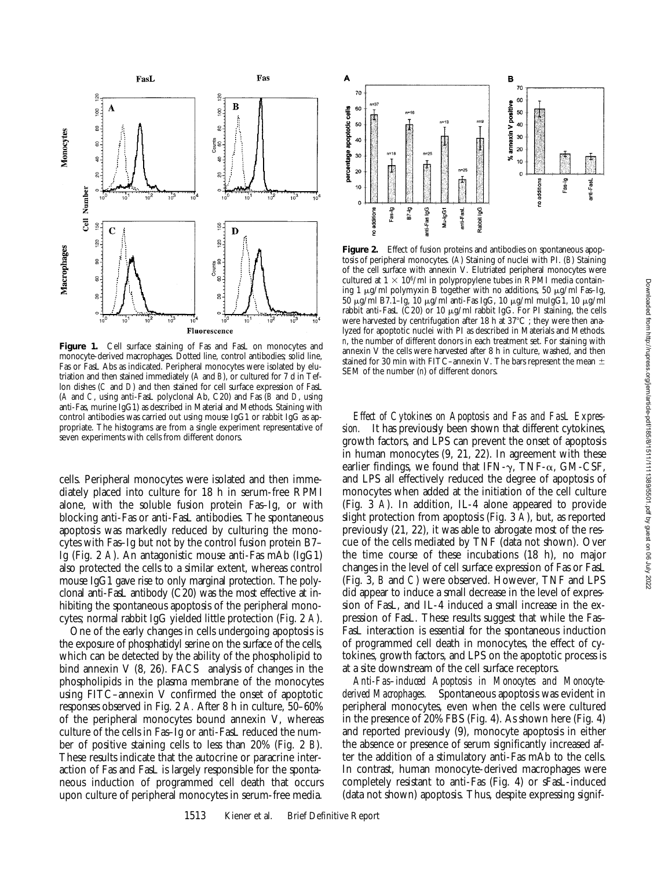

**Figure 1.** Cell surface staining of Fas and FasL on monocytes and monocyte-derived macrophages. Dotted line, control antibodies; solid line, Fas or FasL Abs as indicated. Peripheral monocytes were isolated by elutriation and then stained immediately (*A* and *B*), or cultured for 7 d in Teflon dishes (*C* and *D*) and then stained for cell surface expression of FasL (*A* and *C*, using anti-FasL polyclonal Ab, C20) and Fas (*B* and *D*, using anti-Fas, murine IgG1) as described in Material and Methods. Staining with control antibodies was carried out using mouse IgG1 or rabbit IgG as appropriate. The histograms are from a single experiment representative of seven experiments with cells from different donors.

cells. Peripheral monocytes were isolated and then immediately placed into culture for 18 h in serum-free RPMI alone, with the soluble fusion protein Fas–Ig, or with blocking anti-Fas or anti-FasL antibodies. The spontaneous apoptosis was markedly reduced by culturing the monocytes with Fas–Ig but not by the control fusion protein B7– Ig (Fig. 2 *A*). An antagonistic mouse anti-Fas mAb (IgG1) also protected the cells to a similar extent, whereas control mouse IgG1 gave rise to only marginal protection. The polyclonal anti-FasL antibody (C20) was the most effective at inhibiting the spontaneous apoptosis of the peripheral monocytes; normal rabbit IgG yielded little protection (Fig. 2 *A*).

One of the early changes in cells undergoing apoptosis is the exposure of phosphatidyl serine on the surface of the cells, which can be detected by the ability of the phospholipid to bind annexin V (8, 26).  $FACS^{\circledast}$  analysis of changes in the phospholipids in the plasma membrane of the monocytes using FITC–annexin V confirmed the onset of apoptotic responses observed in Fig. 2 *A.* After 8 h in culture, 50–60% of the peripheral monocytes bound annexin V, whereas culture of the cells in Fas–Ig or anti-FasL reduced the number of positive staining cells to less than 20% (Fig. 2 *B*). These results indicate that the autocrine or paracrine interaction of Fas and FasL is largely responsible for the spontaneous induction of programmed cell death that occurs upon culture of peripheral monocytes in serum-free media.



**Figure 2.** Effect of fusion proteins and antibodies on spontaneous apoptosis of peripheral monocytes. (*A*) Staining of nuclei with PI. (*B*) Staining of the cell surface with annexin V. Elutriated peripheral monocytes were cultured at  $1 \times 10^6$ /ml in polypropylene tubes in RPMI media containing 1  $\mu$ g/ml polymyxin B together with no additions, 50  $\mu$ g/ml Fas-Ig, 50 mg/ml B7.1–Ig, 10 mg/ml anti-Fas IgG, 10 mg/ml muIgG1, 10 mg/ml rabbit anti-FasL  $(C20)$  or 10  $\mu$ g/ml rabbit IgG. For PI staining, the cells were harvested by centrifugation after 18 h at  $37^{\circ}$ C ; they were then analyzed for apoptotic nuclei with PI as described in Materials and Methods. *n*, the number of different donors in each treatment set. For staining with annexin V the cells were harvested after 8 h in culture, washed, and then stained for 30 min with FITC–annexin V. The bars represent the mean  $\pm$ SEM of the number (*n*) of different donors.

*Effect of Cytokines on Apoptosis and Fas and FasL Expression.* It has previously been shown that different cytokines, growth factors, and LPS can prevent the onset of apoptosis in human monocytes (9, 21, 22). In agreement with these earlier findings, we found that IFN- $\gamma$ , TNF- $\alpha$ , GM-CSF, and LPS all effectively reduced the degree of apoptosis of monocytes when added at the initiation of the cell culture (Fig. 3 *A*). In addition, IL-4 alone appeared to provide slight protection from apoptosis (Fig. 3 *A*), but, as reported previously (21, 22), it was able to abrogate most of the rescue of the cells mediated by TNF (data not shown). Over the time course of these incubations (18 h), no major changes in the level of cell surface expression of Fas or FasL (Fig. 3, *B* and *C*) were observed. However, TNF and LPS did appear to induce a small decrease in the level of expression of FasL, and IL-4 induced a small increase in the expression of FasL. These results suggest that while the Fas– FasL interaction is essential for the spontaneous induction of programmed cell death in monocytes, the effect of cytokines, growth factors, and LPS on the apoptotic process is at a site downstream of the cell surface receptors.

*Anti-Fas–induced Apoptosis in Monocytes and Monocytederived Macrophages.* Spontaneous apoptosis was evident in peripheral monocytes, even when the cells were cultured in the presence of 20% FBS (Fig. 4). As shown here (Fig. 4) and reported previously (9), monocyte apoptosis in either the absence or presence of serum significantly increased after the addition of a stimulatory anti-Fas mAb to the cells. In contrast, human monocyte-derived macrophages were completely resistant to anti-Fas (Fig. 4) or sFasL-induced (data not shown) apoptosis. Thus, despite expressing signif-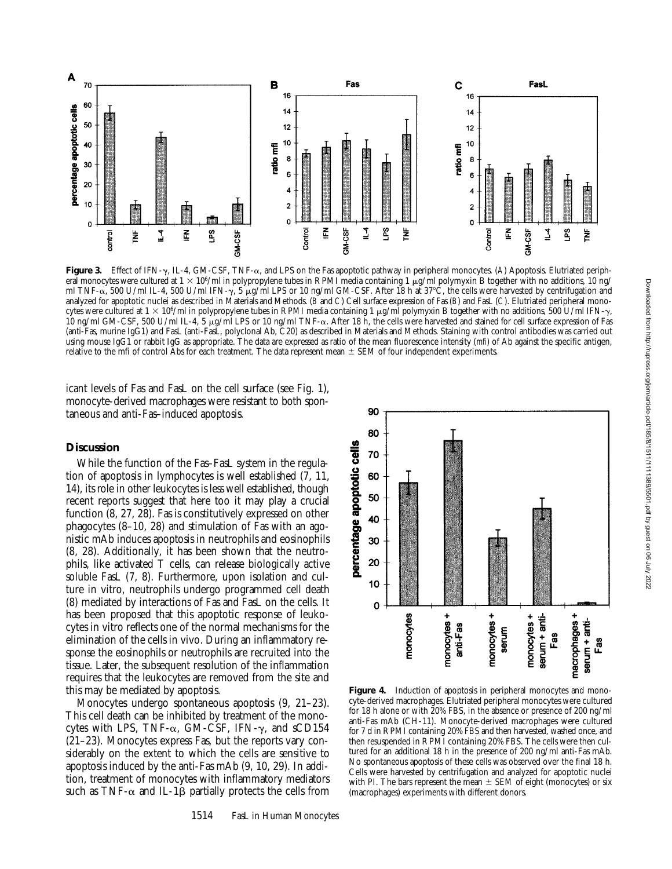

**Figure 3.** Effect of IFN-g, IL-4, GM-CSF, TNF-a, and LPS on the Fas apoptotic pathway in peripheral monocytes. (*A*) Apoptosis. Elutriated peripheral monocytes were cultured at  $1 \times 10^6$ /ml in polypropylene tubes in RPMI media containing 1 µg/ml polymyxin B together with no additions, 10 ng/ ml TNF- $\alpha$ , 500 U/ml IL-4, 500 U/ml IFN- $\gamma$ , 5 µg/ml LPS or 10 ng/ml GM-CSF. After 18 h at 37°C, the cells were harvested by centrifugation and analyzed for apoptotic nuclei as described in Materials and Methods. (*B* and *C*) Cell surface expression of Fas (*B*) and FasL (*C*). Elutriated peripheral monocytes were cultured at  $1 \times 10^6$ /ml in polypropylene tubes in RPMI media containing 1 µg/ml polymyxin B together with no additions, 500 U/ml IFN- $\gamma$ , 10 ng/ml GM-CSF, 500 U/ml IL-4, 5  $\mu$ g/ml LPS or 10 ng/ml TNF- $\alpha$ . After 18 h, the cells were harvested and stained for cell surface expression of Fas (anti-Fas, murine IgG1) and FasL (anti-FasL, polyclonal Ab, C20) as described in Materials and Methods. Staining with control antibodies was carried out using mouse IgG1 or rabbit IgG as appropriate. The data are expressed as ratio of the mean fluorescence intensity (*mfi*) of Ab against the specific antigen, relative to the mfi of control Abs for each treatment. The data represent mean  $\pm$  SEM of four independent experiments.

icant levels of Fas and FasL on the cell surface (see Fig. 1), monocyte-derived macrophages were resistant to both spontaneous and anti-Fas–induced apoptosis.

# **Discussion**

While the function of the Fas–FasL system in the regulation of apoptosis in lymphocytes is well established (7, 11, 14), its role in other leukocytes is less well established, though recent reports suggest that here too it may play a crucial function (8, 27, 28). Fas is constitutively expressed on other phagocytes (8–10, 28) and stimulation of Fas with an agonistic mAb induces apoptosis in neutrophils and eosinophils (8, 28). Additionally, it has been shown that the neutrophils, like activated T cells, can release biologically active soluble FasL (7, 8). Furthermore, upon isolation and culture in vitro, neutrophils undergo programmed cell death (8) mediated by interactions of Fas and FasL on the cells. It has been proposed that this apoptotic response of leukocytes in vitro reflects one of the normal mechanisms for the elimination of the cells in vivo. During an inflammatory response the eosinophils or neutrophils are recruited into the tissue. Later, the subsequent resolution of the inflammation requires that the leukocytes are removed from the site and this may be mediated by apoptosis.

Monocytes undergo spontaneous apoptosis (9, 21–23). This cell death can be inhibited by treatment of the monocytes with LPS, TNF- $\alpha$ , GM-CSF, IFN- $\gamma$ , and sCD154 (21–23). Monocytes express Fas, but the reports vary considerably on the extent to which the cells are sensitive to apoptosis induced by the anti-Fas mAb (9, 10, 29). In addition, treatment of monocytes with inflammatory mediators such as TNF- $\alpha$  and IL-1 $\beta$  partially protects the cells from



Figure 4. Induction of apoptosis in peripheral monocytes and monocyte-derived macrophages. Elutriated peripheral monocytes were cultured for 18 h alone or with 20% FBS, in the absence or presence of 200 ng/ml anti-Fas mAb (CH-11). Monocyte-derived macrophages were cultured for 7 d in RPMI containing 20% FBS and then harvested, washed once, and then resuspended in RPMI containing 20% FBS. The cells were then cultured for an additional 18 h in the presence of 200 ng/ml anti-Fas mAb. No spontaneous apoptosis of these cells was observed over the final 18 h. Cells were harvested by centrifugation and analyzed for apoptotic nuclei with PI. The bars represent the mean  $\pm$  SEM of eight (monocytes) or six (macrophages) experiments with different donors.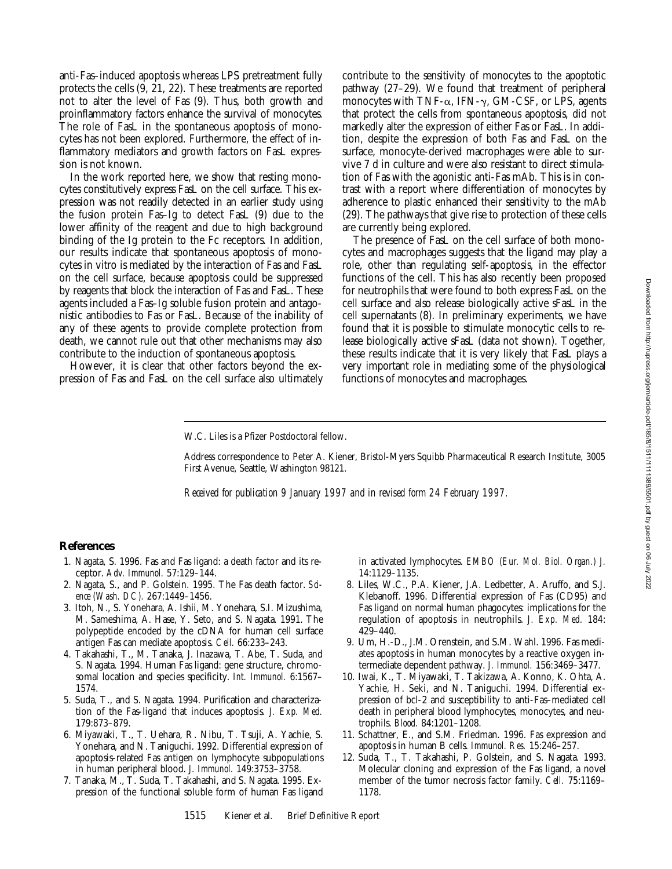anti-Fas–induced apoptosis whereas LPS pretreatment fully protects the cells (9, 21, 22). These treatments are reported not to alter the level of Fas (9). Thus, both growth and proinflammatory factors enhance the survival of monocytes. The role of FasL in the spontaneous apoptosis of monocytes has not been explored. Furthermore, the effect of inflammatory mediators and growth factors on FasL expression is not known.

In the work reported here, we show that resting monocytes constitutively express FasL on the cell surface. This expression was not readily detected in an earlier study using the fusion protein Fas–Ig to detect FasL (9) due to the lower affinity of the reagent and due to high background binding of the Ig protein to the Fc receptors. In addition, our results indicate that spontaneous apoptosis of monocytes in vitro is mediated by the interaction of Fas and FasL on the cell surface, because apoptosis could be suppressed by reagents that block the interaction of Fas and FasL. These agents included a Fas–Ig soluble fusion protein and antagonistic antibodies to Fas or FasL. Because of the inability of any of these agents to provide complete protection from death, we cannot rule out that other mechanisms may also contribute to the induction of spontaneous apoptosis.

However, it is clear that other factors beyond the expression of Fas and FasL on the cell surface also ultimately

contribute to the sensitivity of monocytes to the apoptotic pathway (27–29). We found that treatment of peripheral monocytes with TNF- $\alpha$ , IFN- $\gamma$ , GM-CSF, or LPS, agents that protect the cells from spontaneous apoptosis, did not markedly alter the expression of either Fas or FasL. In addition, despite the expression of both Fas and FasL on the surface, monocyte-derived macrophages were able to survive 7 d in culture and were also resistant to direct stimulation of Fas with the agonistic anti-Fas mAb. This is in contrast with a report where differentiation of monocytes by adherence to plastic enhanced their sensitivity to the mAb (29). The pathways that give rise to protection of these cells are currently being explored.

The presence of FasL on the cell surface of both monocytes and macrophages suggests that the ligand may play a role, other than regulating self-apoptosis, in the effector functions of the cell. This has also recently been proposed for neutrophils that were found to both express FasL on the cell surface and also release biologically active sFasL in the cell supernatants (8). In preliminary experiments, we have found that it is possible to stimulate monocytic cells to release biologically active sFasL (data not shown). Together, these results indicate that it is very likely that FasL plays a very important role in mediating some of the physiological functions of monocytes and macrophages.

#### W.C. Liles is a Pfizer Postdoctoral fellow.

Address correspondence to Peter A. Kiener, Bristol-Myers Squibb Pharmaceutical Research Institute, 3005 First Avenue, Seattle, Washington 98121.

*Received for publication 9 January 1997 and in revised form 24 February 1997.*

### **References**

- 1. Nagata, S. 1996. Fas and Fas ligand: a death factor and its receptor. *Adv. Immunol.* 57:129–144.
- 2. Nagata, S., and P. Golstein. 1995. The Fas death factor. *Science (Wash. DC).* 267:1449–1456.
- 3. Itoh, N., S. Yonehara, A. Ishii, M. Yonehara, S.I. Mizushima, M. Sameshima, A. Hase, Y. Seto, and S. Nagata. 1991. The polypeptide encoded by the cDNA for human cell surface antigen Fas can mediate apoptosis. *Cell.* 66:233–243.
- 4. Takahashi, T., M. Tanaka, J. Inazawa, T. Abe, T. Suda, and S. Nagata. 1994. Human Fas ligand: gene structure, chromosomal location and species specificity. *Int. Immunol.* 6:1567– 1574.
- 5. Suda, T., and S. Nagata. 1994. Purification and characterization of the Fas-ligand that induces apoptosis. *J. Exp. Med.* 179:873–879.
- 6. Miyawaki, T., T. Uehara, R. Nibu, T. Tsuji, A. Yachie, S. Yonehara, and N. Taniguchi. 1992. Differential expression of apoptosis-related Fas antigen on lymphocyte subpopulations in human peripheral blood. *J. Immunol.* 149:3753–3758.
- 7. Tanaka, M., T. Suda, T. Takahashi, and S. Nagata. 1995. Expression of the functional soluble form of human Fas ligand

in activated lymphocytes. *EMBO (Eur. Mol. Biol. Organ.) J.* 14:1129–1135.

- 8. Liles, W.C., P.A. Kiener, J.A. Ledbetter, A. Aruffo, and S.J. Klebanoff. 1996. Differential expression of Fas (CD95) and Fas ligand on normal human phagocytes: implications for the regulation of apoptosis in neutrophils. *J. Exp. Med.* 184: 429–440.
- 9. Um, H.-D., J.M. Orenstein, and S.M. Wahl. 1996. Fas mediates apoptosis in human monocytes by a reactive oxygen intermediate dependent pathway. *J. Immunol.* 156:3469–3477.
- 10. Iwai, K., T. Miyawaki, T. Takizawa, A. Konno, K. Ohta, A. Yachie, H. Seki, and N. Taniguchi. 1994. Differential expression of bcl-2 and susceptibility to anti-Fas–mediated cell death in peripheral blood lymphocytes, monocytes, and neutrophils. *Blood.* 84:1201–1208.
- 11. Schattner, E., and S.M. Friedman. 1996. Fas expression and apoptosis in human B cells. *Immunol. Res.* 15:246–257.
- 12. Suda, T., T. Takahashi, P. Golstein, and S. Nagata. 1993. Molecular cloning and expression of the Fas ligand, a novel member of the tumor necrosis factor family. *Cell.* 75:1169– 1178.